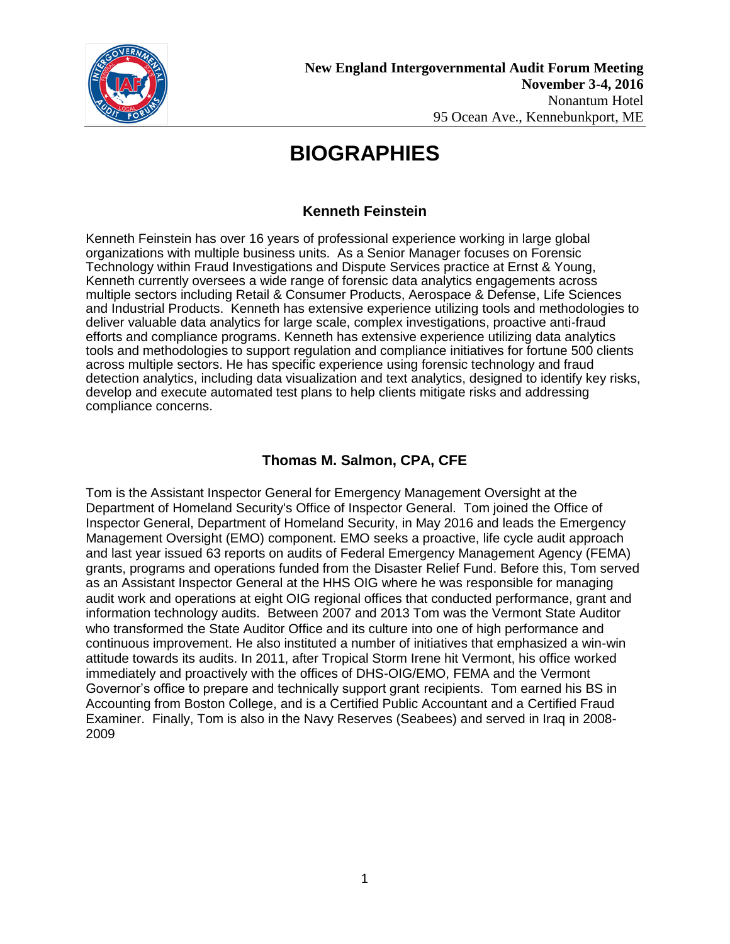

### **Kenneth Feinstein**

Kenneth Feinstein has over 16 years of professional experience working in large global organizations with multiple business units. As a Senior Manager focuses on Forensic Technology within Fraud Investigations and Dispute Services practice at Ernst & Young, Kenneth currently oversees a wide range of forensic data analytics engagements across multiple sectors including Retail & Consumer Products, Aerospace & Defense, Life Sciences and Industrial Products. Kenneth has extensive experience utilizing tools and methodologies to deliver valuable data analytics for large scale, complex investigations, proactive anti-fraud efforts and compliance programs. Kenneth has extensive experience utilizing data analytics tools and methodologies to support regulation and compliance initiatives for fortune 500 clients across multiple sectors. He has specific experience using forensic technology and fraud detection analytics, including data visualization and text analytics, designed to identify key risks, develop and execute automated test plans to help clients mitigate risks and addressing compliance concerns.

### **Thomas M. Salmon, CPA, CFE**

Tom is the Assistant Inspector General for Emergency Management Oversight at the Department of Homeland Security's Office of Inspector General. Tom joined the Office of Inspector General, Department of Homeland Security, in May 2016 and leads the Emergency Management Oversight (EMO) component. EMO seeks a proactive, life cycle audit approach and last year issued 63 reports on audits of Federal Emergency Management Agency (FEMA) grants, programs and operations funded from the Disaster Relief Fund. Before this, Tom served as an Assistant Inspector General at the HHS OIG where he was responsible for managing audit work and operations at eight OIG regional offices that conducted performance, grant and information technology audits. Between 2007 and 2013 Tom was the Vermont State Auditor who transformed the State Auditor Office and its culture into one of high performance and continuous improvement. He also instituted a number of initiatives that emphasized a win-win attitude towards its audits. In 2011, after Tropical Storm Irene hit Vermont, his office worked immediately and proactively with the offices of DHS-OIG/EMO, FEMA and the Vermont Governor's office to prepare and technically support grant recipients. Tom earned his BS in Accounting from Boston College, and is a Certified Public Accountant and a Certified Fraud Examiner. Finally, Tom is also in the Navy Reserves (Seabees) and served in Iraq in 2008- 2009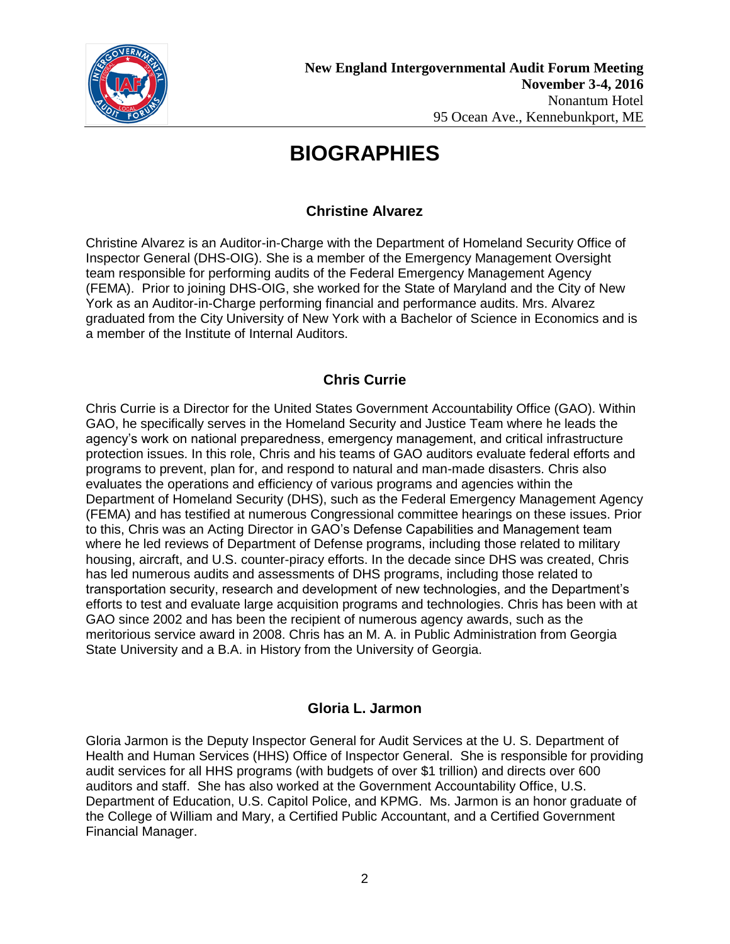

## **Christine Alvarez**

Christine Alvarez is an Auditor-in-Charge with the Department of Homeland Security Office of Inspector General (DHS-OIG). She is a member of the Emergency Management Oversight team responsible for performing audits of the Federal Emergency Management Agency (FEMA). Prior to joining DHS-OIG, she worked for the State of Maryland and the City of New York as an Auditor-in-Charge performing financial and performance audits. Mrs. Alvarez graduated from the City University of New York with a Bachelor of Science in Economics and is a member of the Institute of Internal Auditors.

### **Chris Currie**

Chris Currie is a Director for the United States Government Accountability Office (GAO). Within GAO, he specifically serves in the Homeland Security and Justice Team where he leads the agency's work on national preparedness, emergency management, and critical infrastructure protection issues. In this role, Chris and his teams of GAO auditors evaluate federal efforts and programs to prevent, plan for, and respond to natural and man-made disasters. Chris also evaluates the operations and efficiency of various programs and agencies within the Department of Homeland Security (DHS), such as the Federal Emergency Management Agency (FEMA) and has testified at numerous Congressional committee hearings on these issues. Prior to this, Chris was an Acting Director in GAO's Defense Capabilities and Management team where he led reviews of Department of Defense programs, including those related to military housing, aircraft, and U.S. counter-piracy efforts. In the decade since DHS was created, Chris has led numerous audits and assessments of DHS programs, including those related to transportation security, research and development of new technologies, and the Department's efforts to test and evaluate large acquisition programs and technologies. Chris has been with at GAO since 2002 and has been the recipient of numerous agency awards, such as the meritorious service award in 2008. Chris has an M. A. in Public Administration from Georgia State University and a B.A. in History from the University of Georgia.

### **Gloria L. Jarmon**

Gloria Jarmon is the Deputy Inspector General for Audit Services at the U. S. Department of Health and Human Services (HHS) Office of Inspector General. She is responsible for providing audit services for all HHS programs (with budgets of over \$1 trillion) and directs over 600 auditors and staff. She has also worked at the Government Accountability Office, U.S. Department of Education, U.S. Capitol Police, and KPMG. Ms. Jarmon is an honor graduate of the College of William and Mary, a Certified Public Accountant, and a Certified Government Financial Manager.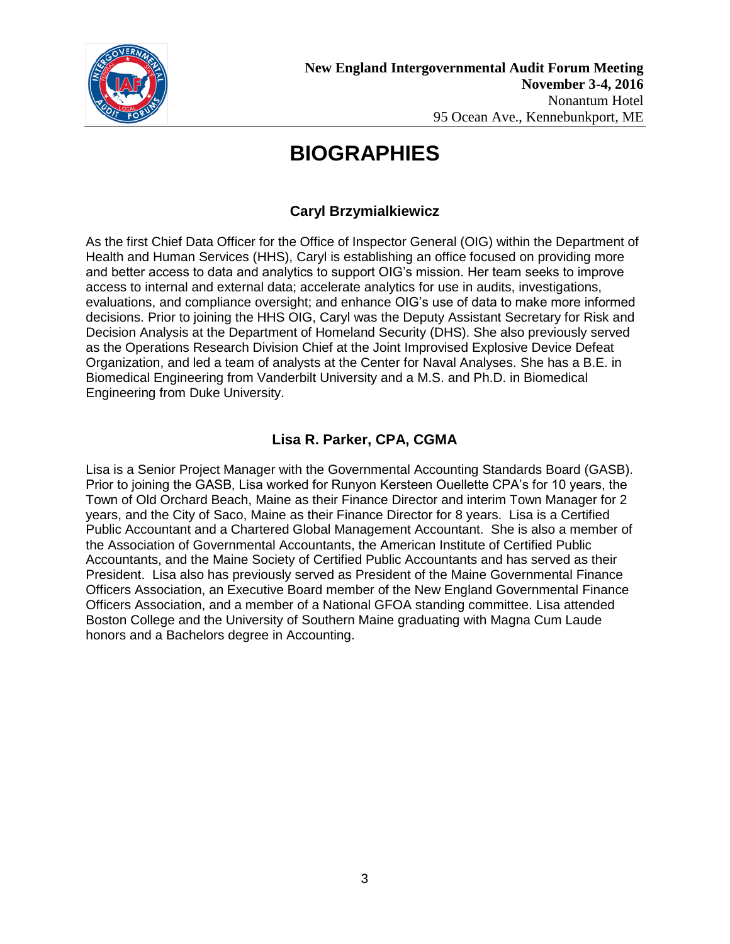

## **Caryl Brzymialkiewicz**

As the first Chief Data Officer for the Office of Inspector General (OIG) within the Department of Health and Human Services (HHS), Caryl is establishing an office focused on providing more and better access to data and analytics to support OIG's mission. Her team seeks to improve access to internal and external data; accelerate analytics for use in audits, investigations, evaluations, and compliance oversight; and enhance OIG's use of data to make more informed decisions. Prior to joining the HHS OIG, Caryl was the Deputy Assistant Secretary for Risk and Decision Analysis at the Department of Homeland Security (DHS). She also previously served as the Operations Research Division Chief at the Joint Improvised Explosive Device Defeat Organization, and led a team of analysts at the Center for Naval Analyses. She has a B.E. in Biomedical Engineering from Vanderbilt University and a M.S. and Ph.D. in Biomedical Engineering from Duke University.

## **Lisa R. Parker, CPA, CGMA**

Lisa is a Senior Project Manager with the Governmental Accounting Standards Board (GASB). Prior to joining the GASB, Lisa worked for Runyon Kersteen Ouellette CPA's for 10 years, the Town of Old Orchard Beach, Maine as their Finance Director and interim Town Manager for 2 years, and the City of Saco, Maine as their Finance Director for 8 years. Lisa is a Certified Public Accountant and a Chartered Global Management Accountant. She is also a member of the Association of Governmental Accountants, the American Institute of Certified Public Accountants, and the Maine Society of Certified Public Accountants and has served as their President. Lisa also has previously served as President of the Maine Governmental Finance Officers Association, an Executive Board member of the New England Governmental Finance Officers Association, and a member of a National GFOA standing committee. Lisa attended Boston College and the University of Southern Maine graduating with Magna Cum Laude honors and a Bachelors degree in Accounting.